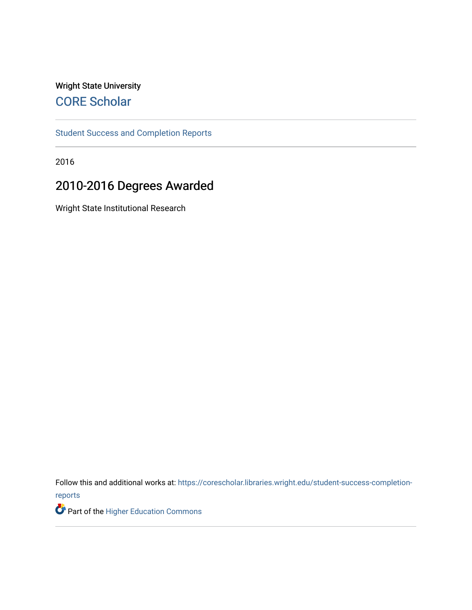## Wright State University [CORE Scholar](https://corescholar.libraries.wright.edu/)

[Student Success and Completion Reports](https://corescholar.libraries.wright.edu/student-success-completion-reports) 

2016

# 2010-2016 Degrees Awarded

Wright State Institutional Research

Follow this and additional works at: [https://corescholar.libraries.wright.edu/student-success-completion](https://corescholar.libraries.wright.edu/student-success-completion-reports?utm_source=corescholar.libraries.wright.edu%2Fstudent-success-completion-reports%2F4&utm_medium=PDF&utm_campaign=PDFCoverPages)[reports](https://corescholar.libraries.wright.edu/student-success-completion-reports?utm_source=corescholar.libraries.wright.edu%2Fstudent-success-completion-reports%2F4&utm_medium=PDF&utm_campaign=PDFCoverPages) 

Part of the [Higher Education Commons](http://network.bepress.com/hgg/discipline/1245?utm_source=corescholar.libraries.wright.edu%2Fstudent-success-completion-reports%2F4&utm_medium=PDF&utm_campaign=PDFCoverPages)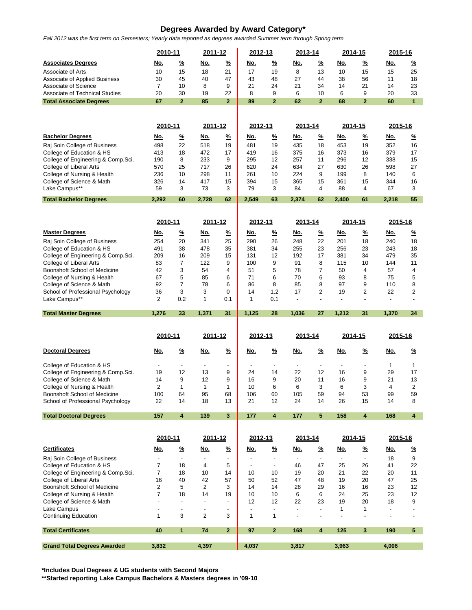### **Degrees Awarded by Award Category\***

*Fall 2012 was the first term on Semesters; Yearly data reported as degrees awarded Summer term through Spring term*

|                                                           | 2010-11        |                                      | 2011-12                  |                                      | 2012-13                        |                                      |                                | 2013-14                              |                                | 2014-15                    |                                | 2015-16        |  |
|-----------------------------------------------------------|----------------|--------------------------------------|--------------------------|--------------------------------------|--------------------------------|--------------------------------------|--------------------------------|--------------------------------------|--------------------------------|----------------------------|--------------------------------|----------------|--|
| <b>Associates Degrees</b>                                 | <u>No.</u>     | <u>%</u>                             | <u>No.</u>               | <u>%</u>                             | <u>No.</u>                     | <u>%</u>                             | <u>No.</u>                     | <u>%</u>                             | <u>No.</u>                     | <u>%</u>                   | <u>No.</u>                     | <u>%</u>       |  |
| Associate of Arts                                         | 10             | 15                                   | 18                       | 21                                   | 17                             | 19                                   | 8                              | 13                                   | 10                             | 15                         | 15                             | 25             |  |
| Associate of Applied Business                             | 30             | 45                                   | 40                       | 47                                   | 43                             | 48                                   | 27                             | 44                                   | 38                             | 56                         | 11                             | 18             |  |
| Associate of Science                                      | $\overline{7}$ | 10                                   | 8                        | 9                                    | 21                             | 24                                   | 21                             | 34                                   | 14                             | 21                         | 14                             | 23             |  |
| <b>Associate of Technical Studies</b>                     | 20             | 30                                   | 19                       | 22                                   | 8                              | 9                                    | 6                              | 10                                   | 6                              | 9                          | 20                             | 33             |  |
| <b>Total Associate Degrees</b>                            | 67             | $\overline{2}$                       | 85                       | $\overline{2}$                       | 89                             | $\overline{2}$                       | 62                             | $\overline{2}$                       | 68                             | $\overline{2}$             | 60                             | $\overline{1}$ |  |
|                                                           |                |                                      |                          |                                      |                                |                                      |                                |                                      |                                |                            |                                |                |  |
|                                                           | 2010-11        |                                      | 2011-12                  |                                      | 2012-13                        |                                      | 2013-14                        |                                      | 2014-15                        |                            | 2015-16                        |                |  |
| <b>Bachelor Degrees</b>                                   | <u>No.</u>     | <u>%</u>                             | <u>No.</u>               | <u>%</u>                             | <u>No.</u>                     | <u>%</u>                             | <u>No.</u>                     | <u>%</u>                             | <u>No.</u>                     | <u>%</u>                   | <u>No.</u>                     | $\frac{9}{6}$  |  |
| Raj Soin College of Business                              | 498            | 22                                   | 518                      | 19                                   | 481                            | 19                                   | 435                            | 18                                   | 453                            | 19                         | 352                            | 16             |  |
| College of Education & HS                                 | 413            | 18                                   | 472                      | 17                                   | 419                            | 16                                   | 375                            | 16                                   | 373                            | 16                         | 379                            | 17             |  |
| College of Engineering & Comp.Sci.                        | 190            | 8                                    | 233                      | 9                                    | 295                            | 12                                   | 257                            | 11                                   | 296                            | 12                         | 338                            | 15             |  |
| College of Liberal Arts                                   | 570            | 25                                   | 717                      | 26                                   | 620                            | 24                                   | 634                            | 27                                   | 630                            | 26                         | 598                            | 27             |  |
| College of Nursing & Health                               | 236            | 10                                   | 298                      | 11                                   | 261                            | 10                                   | 224                            | 9                                    | 199                            | 8                          | 140                            | 6              |  |
| College of Science & Math<br>Lake Campus**                | 326<br>59      | 14<br>3                              | 417<br>73                | 15<br>3                              | 394<br>79                      | 15<br>3                              | 365<br>84                      | 15<br>4                              | 361<br>88                      | 15<br>4                    | 344<br>67                      | 16<br>3        |  |
|                                                           |                |                                      |                          |                                      |                                |                                      |                                |                                      |                                |                            |                                |                |  |
| <b>Total Bachelor Degrees</b>                             | 2,292          | 60                                   | 2,728                    | 62                                   | 2,549                          | 63                                   | 2,374                          | 62                                   | 2,400                          | 61                         | 2,218                          | 55             |  |
|                                                           | 2010-11        |                                      | 2011-12                  |                                      | 2012-13                        |                                      | 2013-14                        |                                      | 2014-15                        |                            | 2015-16                        |                |  |
| <b>Master Degrees</b>                                     |                |                                      |                          |                                      |                                |                                      |                                |                                      |                                |                            |                                |                |  |
|                                                           | <u>No.</u>     | <u>%</u>                             | <u>No.</u>               | <u>%</u>                             | <u>No.</u>                     | <u>%</u>                             | <u>No.</u>                     | <u>%</u>                             | No.                            | <u>%</u>                   | <u>No.</u>                     | <u>%</u>       |  |
| Raj Soin College of Business<br>College of Education & HS | 254<br>491     | 20<br>38                             | 341<br>478               | 25<br>35                             | 290<br>381                     | 26<br>34                             | 248<br>255                     | 22<br>23                             | 201<br>256                     | 18<br>23                   | 240<br>243                     | 18<br>18       |  |
| College of Engineering & Comp.Sci.                        | 209            | 16                                   | 209                      | 15                                   | 131                            | 12                                   | 192                            | 17                                   | 381                            | 34                         | 479                            | 35             |  |
| College of Liberal Arts                                   | 83             | 7                                    | 122                      | 9                                    | 100                            | 9                                    | 91                             | 8                                    | 115                            | 10                         | 144                            | 11             |  |
| Boonshoft School of Medicine                              | 42             | 3                                    | 54                       | 4                                    | 51                             | 5                                    | 78                             | $\overline{7}$                       | 50                             | 4                          | 57                             | 4              |  |
| College of Nursing & Health                               | 67             | 5                                    | 85                       | 6                                    | 71                             | 6                                    | 70                             | 6                                    | 93                             | 8                          | 75                             | 5              |  |
| College of Science & Math                                 | 92             | $\overline{7}$                       | 78                       | 6                                    | 86                             | 8                                    | 85                             | 8                                    | 97                             | 9                          | 110                            | 8              |  |
| School of Professional Psychology                         | 36             | 3                                    | 3                        | 0                                    | 14                             | 1.2                                  | 17                             | 2                                    | 19                             | 2                          | 22                             | 2              |  |
| Lake Campus**                                             | 2              | 0.2                                  | 1                        | 0.1                                  | 1                              | 0.1                                  | $\overline{\phantom{a}}$       | $\overline{a}$                       | $\overline{a}$                 | $\overline{a}$             | $\overline{\phantom{a}}$       | $\overline{a}$ |  |
|                                                           |                |                                      |                          |                                      |                                |                                      |                                |                                      |                                |                            |                                |                |  |
| <b>Total Master Degrees</b>                               | 1,276          | 33                                   | 1,371                    | 31                                   | 1,125                          | 28                                   | 1,036                          | 27                                   | 1,212                          | 31                         | 1,370                          | 34             |  |
|                                                           |                |                                      |                          |                                      |                                |                                      |                                |                                      |                                |                            |                                |                |  |
|                                                           | 2010-11        |                                      | 2011-12                  |                                      | 2012-13                        |                                      | <u>2013-14</u>                 |                                      | <u>2014-15</u>                 |                            | 2015-16                        |                |  |
| <b>Doctoral Degrees</b>                                   | No.            | <u>%</u>                             | No.                      | $\frac{9}{6}$                        | No.                            | <u>%</u>                             | <u>No.</u>                     | <u>%</u>                             | No.                            | <u>%</u>                   | No.                            | $\frac{9}{6}$  |  |
| College of Education & HS                                 |                | $\overline{\phantom{a}}$             | $\overline{\phantom{a}}$ | $\overline{\phantom{a}}$             |                                |                                      |                                | $\blacksquare$                       |                                |                            | 1                              | 1              |  |
| College of Engineering & Comp.Sci.                        | 19             | 12                                   | 13                       | 9                                    | 24                             | 14                                   | 22                             | 12                                   | 16                             | 9                          | 29                             | 17             |  |
| College of Science & Math                                 | 14             | 9                                    | 12                       | 9                                    | 16                             | 9                                    | 20                             | 11                                   | 16                             | 9                          | 21                             | 13             |  |
| College of Nursing & Health                               | $\overline{2}$ | 1                                    | 1                        | 1                                    | 10                             | 6                                    | 6                              | 3                                    | 6                              | 3                          | 4                              | $\overline{2}$ |  |
| Boonshoft School of Medicine                              | 100            | 64                                   | 95                       | 68                                   | 106                            | 60                                   | 105                            | 59                                   | 94                             | 53                         | 99                             | 59             |  |
| School of Professional Psychology                         | 22             | 14                                   | 18                       | 13                                   | 21                             | 12                                   | 24                             | 14                                   | 26                             | 15                         | 14                             | 8              |  |
| <b>Total Doctoral Degrees</b>                             | 157            | 4                                    | 139                      | 3                                    | 177                            | 4                                    | 177                            | 5                                    | 158                            | 4                          | 168                            | 4              |  |
|                                                           | 2010-11        |                                      | 2011-12                  |                                      | 2012-13                        |                                      | 2013-14                        |                                      | 2014-15                        |                            | 2015-16                        |                |  |
| <b>Certificates</b>                                       | <u>No.</u>     |                                      | <u>No.</u>               |                                      | <u>No.</u>                     |                                      | <u>No.</u>                     |                                      | <u>No.</u>                     |                            | <u>No.</u>                     |                |  |
|                                                           |                | <u>%</u><br>$\overline{\phantom{a}}$ | $\frac{1}{2}$            | <u>%</u><br>$\overline{\phantom{a}}$ | $\overline{\phantom{a}}$       | <u>%</u><br>$\overline{\phantom{a}}$ | $\blacksquare$                 | <u>%</u><br>$\overline{\phantom{a}}$ | $\overline{\phantom{a}}$       | <u>%</u><br>$\blacksquare$ |                                | <u>%</u>       |  |
| Raj Soin College of Business<br>College of Education & HS | 7              | 18                                   | 4                        | 5                                    |                                | $\overline{\phantom{a}}$             | 46                             | 47                                   | 25                             | 26                         | 18<br>41                       | 9<br>22        |  |
| College of Engineering & Comp.Sci.                        | 7              | 18                                   | 10                       | 14                                   | 10                             | 10                                   | 19                             | 20                                   | 21                             | 22                         | 20                             | 11             |  |
| College of Liberal Arts                                   | 16             | 40                                   | 42                       | 57                                   | 50                             | 52                                   | 47                             | 48                                   | 19                             | 20                         | 47                             | 25             |  |
| Boonshoft School of Medicine                              | $\overline{2}$ | 5                                    | 2                        | 3                                    | 14                             | 14                                   | 28                             | 29                                   | 16                             | 16                         | 23                             | 12             |  |
| College of Nursing & Health                               | $\overline{7}$ | 18                                   | 14                       | 19                                   | 10                             | 10                                   | 6                              | 6                                    | 24                             | 25                         | 23                             | 12             |  |
| College of Science & Math                                 | $\overline{a}$ | $\overline{\phantom{a}}$             | ٠                        | $\blacksquare$<br>$\blacksquare$     | 12<br>$\overline{\phantom{a}}$ | 12<br>$\overline{a}$                 | 22<br>$\overline{\phantom{a}}$ | 23<br>$\overline{\phantom{a}}$       | 19                             | 20                         | 18<br>$\overline{\phantom{a}}$ | 9              |  |
| Lake Campus<br><b>Continuing Education</b>                | $\mathbf{1}$   | $\overline{\phantom{a}}$<br>3        | ٠<br>$\overline{2}$      | 3                                    | 1                              | 1                                    | $\overline{\phantom{a}}$       | $\overline{\phantom{a}}$             | $\mathbf{1}$<br>$\overline{a}$ | 1<br>$\blacksquare$        | $\overline{\phantom{a}}$       |                |  |
| <b>Total Certificates</b>                                 | 40             | 1                                    | 74                       | $\overline{2}$                       | 97                             | $\mathbf{2}$                         | 168                            | 4                                    | 125                            | 3                          | 190                            | 5              |  |
| <b>Grand Total Degrees Awarded</b>                        | 3,832          |                                      | 4,397                    |                                      | 4,037                          |                                      | 3,817                          |                                      | 3,963                          |                            | 4,006                          |                |  |

**\*Includes Dual Degrees & UG students with Second Majors**

**\*\*Started reporting Lake Campus Bachelors & Masters degrees in '09-10**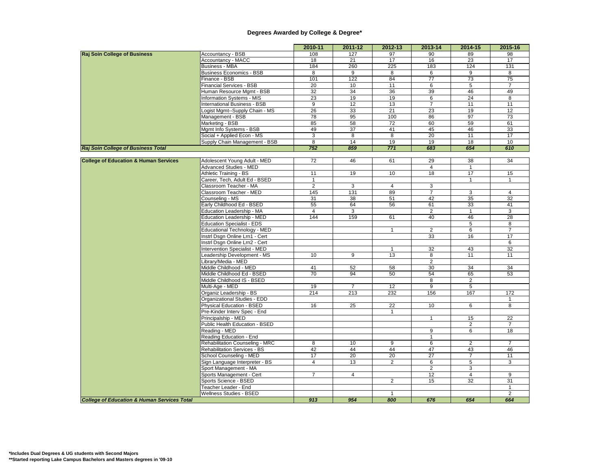|                                                        |                                                            | 2010-11         | 2011-12         | $2012 - 13$     | 2013-14           | 2014-15        | 2015-16         |
|--------------------------------------------------------|------------------------------------------------------------|-----------------|-----------------|-----------------|-------------------|----------------|-----------------|
| <b>Raj Soin College of Business</b>                    | Accountancy - BSB                                          | 108             | 127             | 97              | 90                | 89             | 98              |
|                                                        | Accountancy - MACC                                         | 18              | 21              | 17              | 16                | 23             | 17              |
|                                                        | <b>Business - MBA</b>                                      | 184             | 260             | 225             | 183               | 124            | 131             |
|                                                        | <b>Business Economics - BSB</b>                            | 8               | $\overline{9}$  | 8               | 6                 | $\overline{9}$ | $\overline{8}$  |
|                                                        | Finance - BSB                                              | 101             | 122             | 84              | $\overline{77}$   | 73             | $\overline{75}$ |
|                                                        | <b>Financial Services - BSB</b>                            | 20              | 10              | 11              | 6                 | 5              | $\overline{7}$  |
|                                                        | Human Resource Mgmt - BSB                                  | 32              | 34              | 36              | 39                | 46             | 49              |
|                                                        | <b>Information Systems - MIS</b>                           | $\overline{23}$ | 19              | 19              | $6\overline{6}$   | 24             | 8               |
|                                                        | <b>International Business - BSB</b>                        | $\overline{9}$  | 12              | 13              | $\overline{7}$    | 11             | 11              |
|                                                        | Logist Mgmt--Supply Chain - MS                             | 26              | 33              | 21              | 23                | 19             | 12              |
|                                                        | Management - BSB                                           | 78              | 95              | 100             | 86                | 97             | 73              |
|                                                        | Marketing - BSB                                            | 85              | 58              | 72              | 60                | 59             | 61              |
|                                                        | Mgmt Info Systems - BSB                                    | 49              | $\overline{37}$ | 41              | 45                | 46             | 33              |
|                                                        | Social + Applied Econ - MS                                 | $\overline{3}$  | 8               | $\overline{8}$  | 20                | 11             | 17              |
|                                                        | Supply Chain Management - BSB                              | 8               | 14              | 19              | 19                | 18             | 10              |
| <b>Raj Soin College of Business Total</b>              |                                                            | 752             | 859             | 771             | 683               | 654            | 610             |
|                                                        |                                                            |                 |                 |                 |                   |                |                 |
| <b>College of Education &amp; Human Services</b>       | Adolescent Young Adult - MED                               | $\overline{72}$ | 46              | 61              | 29                | 38             | 34              |
|                                                        | <b>Advanced Studies - MED</b>                              |                 |                 |                 | $\overline{4}$    | $\mathbf{1}$   |                 |
|                                                        | <b>Athletic Training - BS</b>                              | 11              | 19              | 10              | 18                | 17             | 15              |
|                                                        | Career, Tech, Adult Ed - BSED                              | $\mathbf{1}$    |                 |                 |                   | $\overline{1}$ | $\overline{1}$  |
|                                                        | Classroom Teacher - MA                                     | $\overline{2}$  | 3               | $\overline{4}$  | 3                 |                |                 |
|                                                        | Classroom Teacher - MED                                    | 145             | 131             | 89              | $\overline{7}$    | 3              | $\overline{4}$  |
|                                                        | Counseling - MS                                            | 31              | 38              | 51              | 42                | 35             | 32              |
|                                                        | Early Childhood Ed - BSED                                  | 55              | 64              | 56              | 61                | 33             | 41              |
|                                                        | Education Leadership - MA                                  | $\overline{4}$  | 3               |                 | $\overline{2}$    | $\mathbf{1}$   | 3               |
|                                                        | <b>Education Leadership - MED</b>                          | 144             | 159             | 61              | 40                | 46             | 28              |
|                                                        | <b>Education Specialist - EDS</b>                          |                 |                 |                 |                   | 5              | 8               |
|                                                        | Educational Technology - MED                               |                 |                 | $\mathbf{1}$    | $\overline{2}$    | 6              | $\overline{7}$  |
|                                                        | Instrl Dsgn Online Lrn1 - Cert                             |                 |                 |                 | 33                | 16             | 17              |
|                                                        | Instrl Dsgn Online Lrn2 - Cert                             |                 |                 |                 |                   |                | 6               |
|                                                        | Intervention Specialist - MED                              |                 |                 | $\mathbf{1}$    | 32                | 43             | 32              |
|                                                        | Leadership Development - MS                                | 10              | 9               | 13              | 8                 | 11             | 11              |
|                                                        | Library/Media - MED                                        |                 |                 |                 | $\overline{2}$    |                |                 |
|                                                        | Middle Childhood - MED                                     | 41              | 52              | 58              | 30                | 34             | 34              |
|                                                        | Middle Childhood Ed - BSED                                 | 70              | 94              | 50              | 54                | 65             | 53              |
|                                                        | Middle Childhood IS - BSED                                 |                 |                 |                 | 8                 | $\overline{2}$ |                 |
|                                                        | Multi-Age - MED                                            | 19              | $\overline{7}$  | 12              | $\overline{9}$    | $\overline{5}$ |                 |
|                                                        | Organiz Leadership - BS                                    | 214             | 213             | 232             | 156               | 167            | 172             |
|                                                        | Organizational Studies - EDD                               |                 |                 |                 |                   |                | $\mathbf{1}$    |
|                                                        | Physical Education - BSED                                  | 16              | 25              | $\overline{22}$ | 10                | 6              | 8               |
|                                                        | Pre-Kinder Interv Spec - End                               |                 |                 | $\mathbf{1}$    |                   |                |                 |
|                                                        | Principalship - MED                                        |                 |                 |                 | $\overline{1}$    | 15             | 22              |
|                                                        | Public Health Education - BSED                             |                 |                 |                 |                   | $\overline{2}$ |                 |
|                                                        | Reading - MED                                              |                 |                 |                 | 9                 | 6              | 18              |
|                                                        | Reading Education - End<br>Rehabilitation Counseling - MRC | $\overline{8}$  | 10              | 9               | $\mathbf{1}$<br>6 | $\overline{2}$ | $\overline{7}$  |
|                                                        | <b>Rehabilitation Services - BS</b>                        | 42              | 44              | 44              | 47                | 43             | 46              |
|                                                        | School Counseling - MED                                    | 17              | 20              | 20              | 27                | $\overline{7}$ | 11              |
|                                                        | Sign Language Interpreter - BS                             | $\overline{4}$  | 13              | $\overline{a}$  | 6                 | 5              | 3               |
|                                                        | Sport Management - MA                                      |                 |                 |                 | 2                 | 3              |                 |
|                                                        | Sports Management - Cert                                   | $\overline{7}$  | $\overline{4}$  |                 | 12                | $\overline{4}$ | 9               |
|                                                        | Sports Science - BSED                                      |                 |                 | $\overline{2}$  | 15                | 32             | 31              |
|                                                        | Teacher Leader - End                                       |                 |                 |                 |                   |                | $\mathbf{1}$    |
|                                                        | Wellness Studies - BSED                                    |                 |                 | $\mathbf{1}$    |                   |                | $\overline{2}$  |
| <b>College of Education &amp; Human Services Total</b> |                                                            | 913             | 954             | 800             | 676               | 654            | 664             |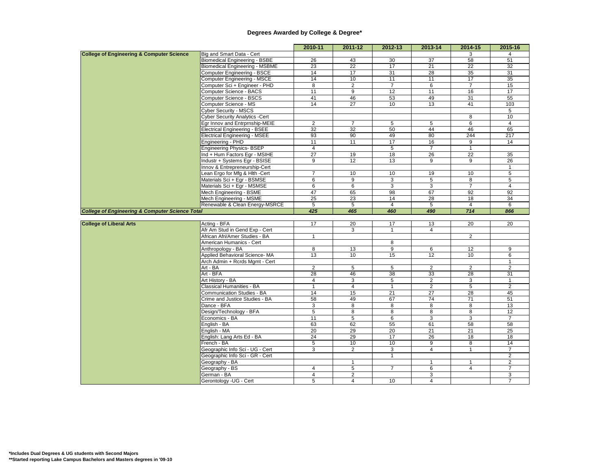|                                                            |                                                | 2010-11                 | 2011-12         | 2012-13         | 2013-14         | 2014-15         | 2015-16                 |
|------------------------------------------------------------|------------------------------------------------|-------------------------|-----------------|-----------------|-----------------|-----------------|-------------------------|
| <b>College of Engineering &amp; Computer Science</b>       | Big and Smart Data - Cert                      |                         |                 |                 |                 | 3               | 4                       |
|                                                            | <b>Biomedical Engineering - BSBE</b>           | 26                      | 43              | 30              | 37              | 58              | 51                      |
|                                                            | <b>Biomedical Engineering - MSBME</b>          | 23                      | $\overline{22}$ | $\overline{17}$ | 21              | 22              | 32                      |
|                                                            | <b>Computer Engineering - BSCE</b>             | 14                      | 17              | 31              | 28              | 35              | 31                      |
|                                                            | Computer Engineering - MSCE                    | 14                      | 10              | 11              | 11              | 17              | 35                      |
|                                                            | Computer Sci + Engineer - PHD                  | 8                       | $\overline{2}$  | $\overline{7}$  | 6               | $\overline{7}$  | 15                      |
|                                                            | Computer Science - BACS                        | 11                      | 9               | 12              | 11              | 16              | 17                      |
|                                                            | Computer Science - BSCS                        | 41                      | 46              | 53              | 49              | 31              | 55                      |
|                                                            | Computer Science - MS                          | 14                      | $\overline{27}$ | 10              | 13              | 41              | 103                     |
|                                                            | Cyber Security - MSCS                          |                         |                 |                 |                 |                 | 5                       |
|                                                            | <b>Cyber Security Analytics -Cert</b>          |                         |                 |                 |                 | 8               | 10                      |
|                                                            | Egr Innov and Entrprnship-MEIE                 | $\overline{2}$          | $\overline{7}$  | 5               | 5               | $6\overline{6}$ | $\overline{4}$          |
|                                                            | <b>Electrical Engineering - BSEE</b>           | $\overline{32}$         | 32              | 50              | 44              | 46              | 65                      |
|                                                            | <b>Electrical Engineering - MSEE</b>           | 93                      | 90              | 49              | 80              | 244             | 217                     |
|                                                            | Engineering - PHD                              | 11                      | 11              | 17              | 16              | 9               | 14                      |
|                                                            | <b>Engineering Physics-BSEP</b>                | 4                       |                 | 5               | $\overline{7}$  | $\mathbf{1}$    |                         |
|                                                            | Ind + Hum Factors Egr - MSIHE                  | $\overline{27}$         | 19              | 18              | 26              | 22              | 35                      |
|                                                            | ndustr + Systems Egr - BSISE                   | $\overline{9}$          | 12              | 13              | $\overline{9}$  | $\overline{9}$  | $\overline{26}$         |
|                                                            | Innov & Entrepreneurship-Cert                  |                         |                 |                 |                 |                 | $\mathbf{1}$            |
|                                                            | Lean Ergo for Mfg & Hlth -Cert                 | $\overline{7}$          | 10              | 10              | 19              | 10              | 5                       |
|                                                            | Materials Sci + Egr - BSMSE                    | 6                       | $\overline{9}$  | $\overline{3}$  | $\overline{5}$  | $\overline{8}$  | 5                       |
|                                                            | Materials Sci + Egr - MSMSE                    | $6\overline{6}$         | 6               | 3               | 3               | $\overline{7}$  | 4                       |
|                                                            | Mech Engineering - BSME                        | 47                      | 65              | 98              | 67              | 92              | 92                      |
|                                                            | Mech Engineering - MSME                        | 25                      | 23              | 14              | 28              | 18              | 34                      |
|                                                            | Renewable & Clean Energy-MSRCE                 | $\overline{5}$          | 5               | $\overline{4}$  | $\overline{5}$  | $\overline{4}$  | 6                       |
| <b>College of Engineering &amp; Computer Science Total</b> |                                                | 425                     | 465             | 460             | 490             | 714             | 866                     |
|                                                            |                                                |                         |                 |                 |                 |                 |                         |
| <b>College of Liberal Arts</b>                             | Acting - BFA<br>Afr Am Stud in Gend Exp - Cert | 17                      | 20              | 17              | 13              | 20              | 20                      |
|                                                            | African Afri/Amer Studies - BA                 | $\mathbf{1}$            | 3               | $\mathbf{1}$    | $\overline{4}$  | $\overline{2}$  |                         |
|                                                            | American Humanics - Cert                       |                         |                 | $\overline{8}$  |                 |                 |                         |
|                                                            | Anthropology - BA                              | 8                       |                 | 9               | 6               | 12              | 9                       |
|                                                            | Applied Behavioral Science-MA                  | 13                      | 13<br>10        | 15              | 12              | 10              | 6                       |
|                                                            | Arch Admin + Rcrds Mgmt - Cert                 |                         |                 |                 |                 |                 | 1                       |
|                                                            | Art - BA                                       | $\overline{2}$          | 5               | $5\overline{)}$ | 2               | $\overline{2}$  | $\overline{2}$          |
|                                                            | Art - BFA                                      | $\overline{28}$         | 46              | $\overline{38}$ | 33              | $\overline{28}$ | 31                      |
|                                                            | Art History - BA                               | 4                       | 3               | 5               | $\sqrt{2}$      | 3               | $\mathbf{1}$            |
|                                                            | <b>Classical Humanities - BA</b>               | $\mathbf{1}$            | $\overline{4}$  | $\mathbf{1}$    | $\overline{2}$  | $\overline{5}$  | $\overline{2}$          |
|                                                            | Communication Studies - BA                     | 14                      | 15              | $\overline{21}$ | $\overline{27}$ | $\overline{28}$ | 45                      |
|                                                            | Crime and Justice Studies - BA                 | 58                      | 49              | 67              | 74              | 71              | 51                      |
|                                                            | Dance - BFA                                    | 3                       | 8               | 8               | 8               | 8               | 13                      |
|                                                            | Design/Technology - BFA                        | 5                       | 8               | 8               | 8               | 8               | 12                      |
|                                                            | Economics - BA                                 | 11                      | 5               | 6               | 3               | 3               | $\overline{7}$          |
|                                                            | English - BA                                   | 63                      | 62              | 55              | 61              | 58              | 58                      |
|                                                            | English - MA                                   | 20                      | 29              | 20              | 21              | 21              | 25                      |
|                                                            | English: Lang Arts Ed - BA                     | 24                      | 29              | 17              | 26              | 18              | 18                      |
|                                                            | French - BA                                    | 5                       | 10              | 10              | 9               | 8               | 14                      |
|                                                            | Geographic Info Sci - UG - Cert                | 3                       | 2               | 3               | 4               | $\mathbf{1}$    | $\overline{7}$          |
|                                                            | Geographic Info Sci - GR - Cert                |                         |                 | $\overline{1}$  |                 |                 | $\overline{2}$          |
|                                                            | Geography - BA                                 |                         | $\mathbf{1}$    |                 | $\mathbf{1}$    | $\mathbf{1}$    | $\overline{\mathbf{c}}$ |
|                                                            | Geography - BS                                 | 4                       | 5               | $\overline{7}$  | 6               | $\overline{4}$  | $\overline{7}$          |
|                                                            | German - BA                                    | $\overline{\mathbf{4}}$ | $\overline{2}$  |                 | 3               |                 | 3                       |
|                                                            | Gerontology - UG - Cert                        | $5\overline{)}$         | $\overline{4}$  | 10              | $\overline{4}$  |                 | $\overline{7}$          |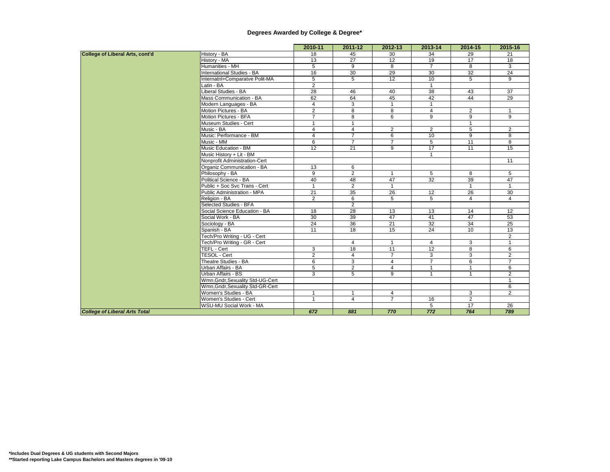|                                        |                                  | 2010-11        | 2011-12         | 2012-13         | 2013-14          | 2014-15        | 2015-16        |
|----------------------------------------|----------------------------------|----------------|-----------------|-----------------|------------------|----------------|----------------|
| <b>College of Liberal Arts, cont'd</b> | History - BA                     | 18             | 45              | 30              | 34               | 29             | 21             |
|                                        | History - MA                     | 13             | 27              | 12              | 19               | 17             | 18             |
|                                        | Humanities - MH                  | 5              | 9               | 8               | $\overline{7}$   | 8              | 3              |
|                                        | International Studies - BA       | 16             | 30              | 29              | 30               | 32             | 24             |
|                                        | Internatnl+Comparatve Polit-MA   | $\overline{5}$ | 5               | 12              | 10               | 5              | 9              |
|                                        | Latin - BA                       | $\overline{2}$ |                 |                 | $\mathbf{1}$     |                |                |
|                                        | Liberal Studies - BA             | 28             | 46              | 40              | 38               | 43             | 37             |
|                                        | Mass Communication - BA          | 62             | 64              | 45              | 42               | 44             | 29             |
|                                        | Modern Languages - BA            | 4              | 3               | $\mathbf{1}$    | $\mathbf{1}$     |                |                |
|                                        | Motion Pictures - BA             | $\overline{2}$ | 8               | 8               | $\overline{4}$   | $\overline{2}$ | $\mathbf{1}$   |
|                                        | Motion Pictures - BFA            | $\overline{7}$ | 8               | 6               | 9                | 9              | 9              |
|                                        | Museum Studies - Cert            | $\mathbf{1}$   | $\mathbf{1}$    |                 |                  | $\overline{1}$ |                |
|                                        | Music - BA                       | $\overline{4}$ | $\overline{4}$  | $\overline{2}$  | 2                | 5              | 2              |
|                                        | Music: Performance - BM          | $\overline{4}$ | $\overline{7}$  | 6               | 10               | 9              | 8              |
|                                        | Music - MM                       | 6              | $\overline{7}$  | $\overline{7}$  | 5                | 11             | 8              |
|                                        | Music Education - BM             | 12             | $\overline{21}$ | 9               | 17               | 11             | 15             |
|                                        | Music History + Lit - BM         |                |                 |                 | $\overline{1}$   |                |                |
|                                        | Nonprofit Administration-Cert    |                |                 |                 |                  |                | 11             |
|                                        | Organiz Communication - BA       | 13             | 6               |                 |                  |                |                |
|                                        | Philosophy - BA                  | 9              | $\overline{2}$  | $\mathbf{1}$    | 5                | 8              | 5              |
|                                        | Political Science - BA           | 40             | 48              | 47              | 32               | 39             | 47             |
|                                        | Public + Soc Svc Trans - Cert    | $\mathbf{1}$   | 2               | $\mathbf{1}$    |                  | $\mathbf{1}$   |                |
|                                        | Public Administration - MPA      | 21             | 35              | 26              | 12               | 26             | 30             |
|                                        | Religion - BA                    | $\overline{2}$ | 6               | $\overline{5}$  | $\overline{5}$   | $\overline{4}$ | $\overline{4}$ |
|                                        | Selected Studies - BFA           |                | $\overline{2}$  |                 |                  |                |                |
|                                        | Social Science Education - BA    | 18             | 28              | 13              | 13               | 14             | 12             |
|                                        | Social Work - BA                 | 30             | 39              | 47              | 41               | 47             | 53             |
|                                        | Sociology - BA                   | 24             | 36              | 21              | 32               | 34             | 25             |
|                                        | Spanish - BA                     | 11             | 18              | 15              | 24               | 10             | 13             |
|                                        | Tech/Pro Writing - UG - Cert     |                |                 |                 |                  |                | $\overline{2}$ |
|                                        | Tech/Pro Writing - GR - Cert     |                | $\overline{4}$  | $\mathbf{1}$    | $\overline{4}$   | 3              |                |
|                                        | <b>TEFL - Cert</b>               | 3              | 18              | $\overline{11}$ | 12               | 8              | 6              |
|                                        | TESOL - Cert                     | $\overline{2}$ | $\overline{4}$  | $\overline{7}$  | 3                | 3              | 2              |
|                                        | Theatre Studies - BA             | 6              | 3               | $\overline{4}$  | $\overline{7}$   | 6              | $\overline{7}$ |
|                                        | Urban Affairs - BA               | 5              | $\overline{2}$  | $\overline{4}$  | $\overline{1}$   |                | 6              |
|                                        | Urban Affairs - BS               | 3              | 5               | 9               | $\mathbf{1}$     |                | 2              |
|                                        | Wmn, Gndr, Sexuality Std-UG-Cert |                |                 |                 |                  |                |                |
|                                        | Wmn, Gndr, Sexuality Std-GR-Cert |                |                 |                 |                  |                | 6              |
|                                        | Women's Studies - BA             | $\mathbf{1}$   | $\mathbf{1}$    | $\overline{4}$  |                  | 3              | 2              |
|                                        | Women's Studies - Cert           | $\mathbf{1}$   | $\overline{4}$  | $\overline{7}$  | 16               | $\overline{2}$ |                |
|                                        | WSU-MU Social Work - MA          |                |                 |                 | 5                | 17             | 26             |
| <b>College of Liberal Arts Total</b>   |                                  | 672            | 881             | 770             | $\overline{772}$ | 764            | 789            |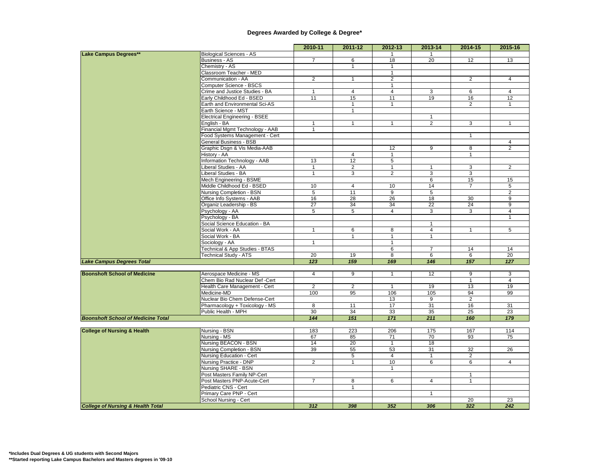|                                              |                                                               | 2010-11         | 2011-12              | $2012 - 13$     | $2013 - 14$     | 2014-15         | 2015-16         |
|----------------------------------------------|---------------------------------------------------------------|-----------------|----------------------|-----------------|-----------------|-----------------|-----------------|
| Lake Campus Degrees**                        | <b>Biological Sciences - AS</b>                               |                 |                      |                 | $\overline{1}$  |                 |                 |
|                                              | <b>Business - AS</b>                                          | $\overline{7}$  | 6                    | 18              | $\overline{20}$ | 12              | 13              |
|                                              | Chemistry - AS                                                |                 | $\mathbf{1}$         | $\mathbf{1}$    |                 |                 |                 |
|                                              | Classroom Teacher - MED                                       |                 |                      | $\overline{1}$  |                 |                 |                 |
|                                              | Communication - AA                                            | $\overline{2}$  | $\mathbf{1}$         | $\overline{2}$  |                 | $\overline{2}$  | $\overline{4}$  |
|                                              | Computer Science - BSCS                                       |                 |                      | $\mathbf{1}$    |                 |                 |                 |
|                                              | Crime and Justice Studies - BA                                | $\mathbf{1}$    | $\overline{4}$       | $\overline{4}$  | $\overline{3}$  | 6               | $\overline{4}$  |
|                                              | Early Childhood Ed - BSED                                     | 11              | 15                   | 11              | 19              | 16              | 12              |
|                                              | Earth and Environmental Sci-AS                                |                 | $\mathbf{1}$         | $\mathbf{1}$    |                 | $\overline{2}$  | $\mathbf{1}$    |
|                                              | Earth Science - MST                                           |                 | $\mathbf{1}$         |                 |                 |                 |                 |
|                                              | <b>Electrical Engineering - BSEE</b>                          |                 |                      |                 | $\mathbf{1}$    |                 |                 |
|                                              | English - BA                                                  | $\mathbf{1}$    | $\mathbf{1}$         | $\mathbf{1}$    | $\overline{2}$  | 3               | $\mathbf{1}$    |
|                                              | Financial Mgmt Technology - AAB                               | $\mathbf{1}$    |                      |                 |                 |                 |                 |
|                                              | Food Systems Management - Cert                                |                 |                      |                 |                 | $\mathbf{1}$    |                 |
|                                              | General Business - BSB                                        |                 |                      |                 |                 |                 | 4               |
|                                              | Graphic Dsgn & Vis Media-AAB                                  |                 |                      | 12              | 9               | 8               | $\overline{2}$  |
|                                              | History - AA                                                  |                 | 4                    | $\mathbf{1}$    |                 | $\mathbf{1}$    |                 |
|                                              | Information Technology - AAB                                  | 13              | 12                   | 5               |                 |                 |                 |
|                                              | Liberal Studies - AA                                          | $\mathbf{1}$    | $\overline{2}$       | $\mathbf{1}$    | $\mathbf{1}$    | 3               | $\overline{2}$  |
|                                              | Liberal Studies - BA                                          | $\mathbf{1}$    | 3                    | $\overline{2}$  | 3               | 3               |                 |
|                                              | Mech Engineering - BSME                                       | 10              |                      | 10              | 6               | 15              | 15              |
|                                              | Middle Childhood Ed - BSED<br><b>Nursing Completion - BSN</b> |                 | $\overline{4}$<br>11 |                 | 14              | $\overline{7}$  | $\overline{5}$  |
|                                              |                                                               | 5<br>16         | 28                   | 9<br>26         | 5<br>18         | 30              | 2<br>9          |
|                                              | Office Info Systems - AAB<br>Organiz Leadership - BS          | 27              | 34                   | 34              | 22              | 24              | 9               |
|                                              | Psychology - AA                                               | $5\overline{)}$ | $5\overline{)}$      | $\overline{4}$  | 3               | 3               | $\overline{4}$  |
|                                              | Psychology - BA                                               |                 |                      |                 |                 |                 | $\mathbf{1}$    |
|                                              | Social Science Education - BA                                 |                 |                      |                 | $\mathbf{1}$    |                 |                 |
|                                              | Social Work - AA                                              | $\mathbf{1}$    | 6                    | 8               | $\overline{4}$  | $\mathbf{1}$    | 5               |
|                                              | Social Work - BA                                              |                 | $\mathbf{1}$         | $\mathbf{1}$    | $\mathbf{1}$    |                 |                 |
|                                              | Sociology - AA                                                | $\mathbf{1}$    |                      | 1               |                 |                 |                 |
|                                              | Technical & App Studies - BTAS                                |                 |                      | 6               | $\overline{7}$  | 14              | 14              |
|                                              | <b>Technical Study - ATS</b>                                  | 20              | 19                   | 8               | 6               | 6               | $\overline{20}$ |
| <b>Lake Campus Degrees Total</b>             |                                                               | 123             | 159                  | 169             | 146             | 157             | 127             |
|                                              |                                                               |                 |                      |                 |                 |                 |                 |
| <b>Boonshoft School of Medicine</b>          | Aerospace Medicine - MS                                       | $\overline{4}$  | 9                    | $\mathbf{1}$    | 12              | 9               | 3               |
|                                              | Chem Bio Rad Nuclear Def -Cert                                |                 |                      |                 |                 | $\mathbf{1}$    | $\overline{4}$  |
|                                              | Health Care Management - Cert                                 | $\overline{2}$  | 2                    | $\mathbf{1}$    | 19              | 13              | 19              |
|                                              | Medicine-MD                                                   | 100             | 95                   | 106             | 105             | 94              | 99              |
|                                              | Nuclear Bio Chem Defense-Cert                                 |                 |                      | 13              | 9               | $\overline{2}$  |                 |
|                                              | Pharmacology + Toxicology - MS                                | 8               | 11                   | $\overline{17}$ | 31              | 16              | 31              |
|                                              | Public Health - MPH                                           | 30              | 34                   | 33              | 35              | 25              | $\overline{23}$ |
| <b>Boonshoft School of Medicine Total</b>    |                                                               | 144             | 151                  | 171             | 211             | 160             | 179             |
|                                              |                                                               |                 |                      |                 |                 |                 |                 |
| <b>College of Nursing &amp; Health</b>       | Nursing - BSN                                                 | 183             | 223                  | 206             | 175             | 167             | 114             |
|                                              | Nursing - MS                                                  | 67              | 85                   | 71              | 70              | 93              | 75              |
|                                              | Nursing BEACON - BSN                                          | 14              | 20                   | $\overline{1}$  | 18              |                 |                 |
|                                              | Nursing Completion - BSN                                      | 39              | 55                   | 53              | 31              | 32              | 26              |
|                                              | Nursing Education - Cert                                      |                 | 5                    | $\overline{4}$  | $\mathbf{1}$    | $\overline{2}$  |                 |
|                                              | Nursing Practice - DNP                                        | $\overline{2}$  | $\mathbf{1}$         | 10              | 6               | 6               | $\overline{4}$  |
|                                              | Nursing SHARE - BSN                                           |                 |                      | $\mathbf{1}$    |                 |                 |                 |
|                                              | Post Masters Family NP-Cert                                   |                 |                      |                 |                 | $\mathbf{1}$    |                 |
|                                              | Post Masters PNP-Acute-Cert                                   | $\overline{7}$  | 8                    | 6               | $\overline{4}$  |                 |                 |
|                                              | Pediatric CNS - Cert                                          |                 | $\mathbf{1}$         |                 |                 |                 |                 |
|                                              | Primary Care PNP - Cert                                       |                 |                      |                 | $\mathbf{1}$    |                 |                 |
|                                              | School Nursing - Cert                                         |                 |                      |                 |                 | $\overline{20}$ | 23              |
| <b>College of Nursing &amp; Health Total</b> |                                                               | 312             | 398                  | 352             | 306             | 322             | 242             |